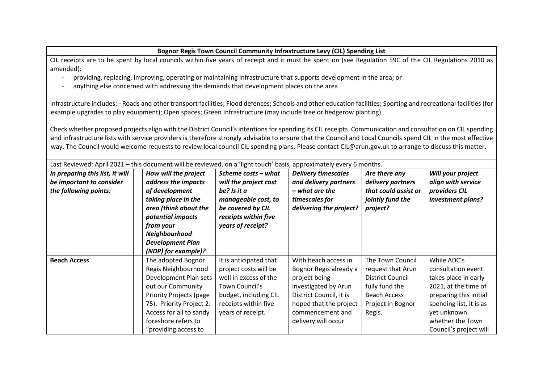## **Bognor Regis Town Council Community Infrastructure Levy (CIL) Spending List**

CIL receipts are to be spent by local councils within five years of receipt and it must be spent on (see Regulation 59C of the CIL Regulations 2010 as amended):

- providing, replacing, improving, operating or maintaining infrastructure that supports development in the area; or
- anything else concerned with addressing the demands that development places on the area

Infrastructure includes: - Roads and other transport facilities; Flood defences; Schools and other education facilities; Sporting and recreational facilities (for example upgrades to play equipment); Open spaces; Green Infrastructure (may include tree or hedgerow planting)

Check whether proposed projects align with the District Council's intentions for spending its CIL receipts. Communication and consultation on CIL spending and infrastructure lists with service providers is therefore strongly advisable to ensure that the Council and Local Councils spend CIL in the most effective way. The Council would welcome requests to review local council CIL spending plans. Please contact CIL@arun.gov.uk to arrange to discuss this matter.

| Last Reviewed: April 2021 – this document will be reviewed, on a 'light touch' basis, approximately every 6 months. |  |                                |                        |                            |                         |                         |  |
|---------------------------------------------------------------------------------------------------------------------|--|--------------------------------|------------------------|----------------------------|-------------------------|-------------------------|--|
| In preparing this list, it will                                                                                     |  | How will the project           | Scheme costs - what    | <b>Delivery timescales</b> | Are there any           | Will your project       |  |
| be important to consider                                                                                            |  | address the impacts            | will the project cost  | and delivery partners      | delivery partners       | align with service      |  |
| the following points:                                                                                               |  | of development                 | be? Is it a            | – what are the             | that could assist or    | providers CIL           |  |
|                                                                                                                     |  | taking place in the            | manageable cost, to    | timescales for             | jointly fund the        | investment plans?       |  |
|                                                                                                                     |  | area (think about the          | be covered by CIL      | delivering the project?    | project?                |                         |  |
|                                                                                                                     |  | potential impacts              | receipts within five   |                            |                         |                         |  |
|                                                                                                                     |  | from your                      | years of receipt?      |                            |                         |                         |  |
|                                                                                                                     |  | Neighbourhood                  |                        |                            |                         |                         |  |
|                                                                                                                     |  | <b>Development Plan</b>        |                        |                            |                         |                         |  |
|                                                                                                                     |  | (NDP) for example)?            |                        |                            |                         |                         |  |
| <b>Beach Access</b>                                                                                                 |  | The adopted Bognor             | It is anticipated that | With beach access in       | The Town Council        | While ADC's             |  |
|                                                                                                                     |  | Regis Neighbourhood            | project costs will be  | Bognor Regis already a     | request that Arun       | consultation event      |  |
|                                                                                                                     |  | Development Plan sets          | well in excess of the  | project being              | <b>District Council</b> | takes place in early    |  |
|                                                                                                                     |  | out our Community              | Town Council's         | investigated by Arun       | fully fund the          | 2021, at the time of    |  |
|                                                                                                                     |  | <b>Priority Projects (page</b> | budget, including CIL  | District Council, it is    | <b>Beach Access</b>     | preparing this initial  |  |
|                                                                                                                     |  | 75). Priority Project 2:       | receipts within five   | hoped that the project     | Project in Bognor       | spending list, it is as |  |
|                                                                                                                     |  | Access for all to sandy        | years of receipt.      | commencement and           | Regis.                  | yet unknown             |  |
|                                                                                                                     |  | foreshore refers to            |                        | delivery will occur        |                         | whether the Town        |  |
|                                                                                                                     |  | "providing access to           |                        |                            |                         | Council's project will  |  |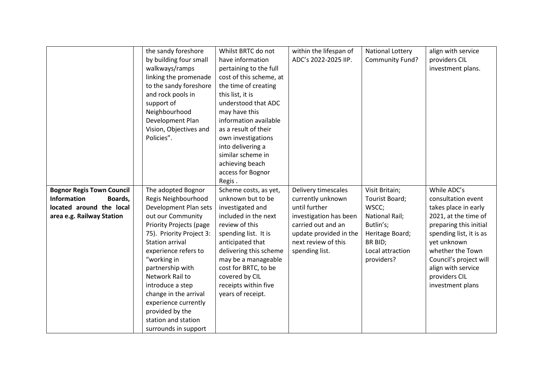|                                  | the sandy foreshore            | Whilst BRTC do not      | within the lifespan of | National Lottery | align with service      |
|----------------------------------|--------------------------------|-------------------------|------------------------|------------------|-------------------------|
|                                  | by building four small         | have information        | ADC's 2022-2025 IIP.   | Community Fund?  | providers CIL           |
|                                  | walkways/ramps                 | pertaining to the full  |                        |                  | investment plans.       |
|                                  | linking the promenade          | cost of this scheme, at |                        |                  |                         |
|                                  | to the sandy foreshore         | the time of creating    |                        |                  |                         |
|                                  | and rock pools in              | this list, it is        |                        |                  |                         |
|                                  | support of                     | understood that ADC     |                        |                  |                         |
|                                  | Neighbourhood                  | may have this           |                        |                  |                         |
|                                  | Development Plan               | information available   |                        |                  |                         |
|                                  | Vision, Objectives and         | as a result of their    |                        |                  |                         |
|                                  | Policies".                     | own investigations      |                        |                  |                         |
|                                  |                                | into delivering a       |                        |                  |                         |
|                                  |                                | similar scheme in       |                        |                  |                         |
|                                  |                                | achieving beach         |                        |                  |                         |
|                                  |                                | access for Bognor       |                        |                  |                         |
|                                  |                                | Regis.                  |                        |                  |                         |
| <b>Bognor Regis Town Council</b> | The adopted Bognor             | Scheme costs, as yet,   | Delivery timescales    | Visit Britain;   | While ADC's             |
| <b>Information</b><br>Boards,    | Regis Neighbourhood            | unknown but to be       | currently unknown      | Tourist Board;   | consultation event      |
| located around the local         | Development Plan sets          | investigated and        | until further          | WSCC;            | takes place in early    |
| area e.g. Railway Station        | out our Community              | included in the next    | investigation has been | National Rail;   | 2021, at the time of    |
|                                  | <b>Priority Projects (page</b> | review of this          | carried out and an     | Butlin's;        | preparing this initial  |
|                                  | 75). Priority Project 3:       | spending list. It is    | update provided in the | Heritage Board;  | spending list, it is as |
|                                  | <b>Station arrival</b>         | anticipated that        | next review of this    | BR BID;          | yet unknown             |
|                                  | experience refers to           | delivering this scheme  | spending list.         | Local attraction | whether the Town        |
|                                  | "working in                    | may be a manageable     |                        | providers?       | Council's project will  |
|                                  | partnership with               | cost for BRTC, to be    |                        |                  | align with service      |
|                                  | Network Rail to                | covered by CIL          |                        |                  | providers CIL           |
|                                  | introduce a step               | receipts within five    |                        |                  | investment plans        |
|                                  | change in the arrival          | years of receipt.       |                        |                  |                         |
|                                  | experience currently           |                         |                        |                  |                         |
|                                  | provided by the                |                         |                        |                  |                         |
|                                  | station and station            |                         |                        |                  |                         |
|                                  | surrounds in support           |                         |                        |                  |                         |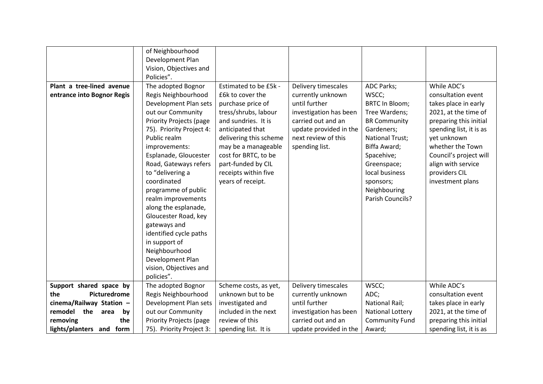| Plant a tree-lined avenue<br>entrance into Bognor Regis | of Neighbourhood<br>Development Plan<br>Vision, Objectives and<br>Policies".<br>The adopted Bognor<br>Regis Neighbourhood<br>Development Plan sets<br>out our Community<br><b>Priority Projects (page</b><br>75). Priority Project 4:<br>Public realm<br>improvements:<br>Esplanade, Gloucester<br>Road, Gateways refers<br>to "delivering a<br>coordinated<br>programme of public<br>realm improvements<br>along the esplanade,<br>Gloucester Road, key<br>gateways and | Estimated to be £5k -<br>£6k to cover the<br>purchase price of<br>tress/shrubs, labour<br>and sundries. It is<br>anticipated that<br>delivering this scheme<br>may be a manageable<br>cost for BRTC, to be<br>part-funded by CIL<br>receipts within five<br>years of receipt. | Delivery timescales<br>currently unknown<br>until further<br>investigation has been<br>carried out and an<br>update provided in the<br>next review of this<br>spending list. | <b>ADC Parks;</b><br>WSCC;<br><b>BRTC In Bloom;</b><br>Tree Wardens;<br><b>BR Community</b><br>Gardeners;<br><b>National Trust;</b><br>Biffa Award;<br>Spacehive;<br>Greenspace;<br>local business<br>sponsors;<br>Neighbouring<br>Parish Councils? | While ADC's<br>consultation event<br>takes place in early<br>2021, at the time of<br>preparing this initial<br>spending list, it is as<br>yet unknown<br>whether the Town<br>Council's project will<br>align with service<br>providers CIL<br>investment plans |
|---------------------------------------------------------|--------------------------------------------------------------------------------------------------------------------------------------------------------------------------------------------------------------------------------------------------------------------------------------------------------------------------------------------------------------------------------------------------------------------------------------------------------------------------|-------------------------------------------------------------------------------------------------------------------------------------------------------------------------------------------------------------------------------------------------------------------------------|------------------------------------------------------------------------------------------------------------------------------------------------------------------------------|-----------------------------------------------------------------------------------------------------------------------------------------------------------------------------------------------------------------------------------------------------|----------------------------------------------------------------------------------------------------------------------------------------------------------------------------------------------------------------------------------------------------------------|
|                                                         | identified cycle paths                                                                                                                                                                                                                                                                                                                                                                                                                                                   |                                                                                                                                                                                                                                                                               |                                                                                                                                                                              |                                                                                                                                                                                                                                                     |                                                                                                                                                                                                                                                                |
|                                                         | in support of<br>Neighbourhood                                                                                                                                                                                                                                                                                                                                                                                                                                           |                                                                                                                                                                                                                                                                               |                                                                                                                                                                              |                                                                                                                                                                                                                                                     |                                                                                                                                                                                                                                                                |
|                                                         | Development Plan<br>vision, Objectives and<br>policies".                                                                                                                                                                                                                                                                                                                                                                                                                 |                                                                                                                                                                                                                                                                               |                                                                                                                                                                              |                                                                                                                                                                                                                                                     |                                                                                                                                                                                                                                                                |
| Support shared space by                                 | The adopted Bognor                                                                                                                                                                                                                                                                                                                                                                                                                                                       | Scheme costs, as yet,                                                                                                                                                                                                                                                         | Delivery timescales                                                                                                                                                          | WSCC;                                                                                                                                                                                                                                               | While ADC's                                                                                                                                                                                                                                                    |
| the<br>Picturedrome                                     | Regis Neighbourhood                                                                                                                                                                                                                                                                                                                                                                                                                                                      | unknown but to be                                                                                                                                                                                                                                                             | currently unknown                                                                                                                                                            | ADC;                                                                                                                                                                                                                                                | consultation event                                                                                                                                                                                                                                             |
| cinema/Railway Station -                                | Development Plan sets                                                                                                                                                                                                                                                                                                                                                                                                                                                    | investigated and                                                                                                                                                                                                                                                              | until further                                                                                                                                                                | <b>National Rail;</b>                                                                                                                                                                                                                               | takes place in early                                                                                                                                                                                                                                           |
| remodel the<br>area<br>by                               | out our Community                                                                                                                                                                                                                                                                                                                                                                                                                                                        | included in the next                                                                                                                                                                                                                                                          | investigation has been                                                                                                                                                       | National Lottery                                                                                                                                                                                                                                    | 2021, at the time of                                                                                                                                                                                                                                           |
| the<br>removing                                         | <b>Priority Projects (page</b>                                                                                                                                                                                                                                                                                                                                                                                                                                           | review of this                                                                                                                                                                                                                                                                | carried out and an                                                                                                                                                           | <b>Community Fund</b>                                                                                                                                                                                                                               | preparing this initial                                                                                                                                                                                                                                         |
| lights/planters and form                                | 75). Priority Project 3:                                                                                                                                                                                                                                                                                                                                                                                                                                                 | spending list. It is                                                                                                                                                                                                                                                          | update provided in the                                                                                                                                                       | Award;                                                                                                                                                                                                                                              | spending list, it is as                                                                                                                                                                                                                                        |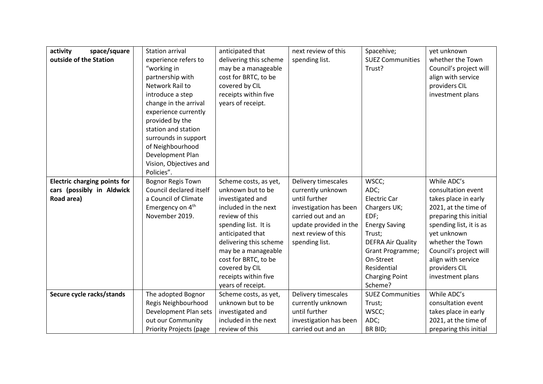| activity<br>space/square            | <b>Station arrival</b>         | anticipated that       | next review of this    | Spacehive;               | yet unknown             |
|-------------------------------------|--------------------------------|------------------------|------------------------|--------------------------|-------------------------|
| outside of the Station              | experience refers to           | delivering this scheme | spending list.         | <b>SUEZ Communities</b>  | whether the Town        |
|                                     | "working in                    | may be a manageable    |                        | Trust?                   | Council's project will  |
|                                     | partnership with               | cost for BRTC, to be   |                        |                          | align with service      |
|                                     | Network Rail to                | covered by CIL         |                        |                          | providers CIL           |
|                                     | introduce a step               | receipts within five   |                        |                          | investment plans        |
|                                     | change in the arrival          | years of receipt.      |                        |                          |                         |
|                                     | experience currently           |                        |                        |                          |                         |
|                                     | provided by the                |                        |                        |                          |                         |
|                                     | station and station            |                        |                        |                          |                         |
|                                     | surrounds in support           |                        |                        |                          |                         |
|                                     | of Neighbourhood               |                        |                        |                          |                         |
|                                     | Development Plan               |                        |                        |                          |                         |
|                                     | Vision, Objectives and         |                        |                        |                          |                         |
|                                     | Policies".                     |                        |                        |                          |                         |
| <b>Electric charging points for</b> | <b>Bognor Regis Town</b>       | Scheme costs, as yet,  | Delivery timescales    | WSCC;                    | While ADC's             |
| cars (possibly in Aldwick           | Council declared itself        | unknown but to be      | currently unknown      | ADC;                     | consultation event      |
| Road area)                          | a Council of Climate           | investigated and       | until further          | Electric Car             | takes place in early    |
|                                     | Emergency on 4 <sup>th</sup>   | included in the next   | investigation has been | Chargers UK;             | 2021, at the time of    |
|                                     | November 2019.                 | review of this         | carried out and an     | EDF;                     | preparing this initial  |
|                                     |                                | spending list. It is   | update provided in the | <b>Energy Saving</b>     | spending list, it is as |
|                                     |                                | anticipated that       | next review of this    | Trust;                   | yet unknown             |
|                                     |                                | delivering this scheme | spending list.         | <b>DEFRA Air Quality</b> | whether the Town        |
|                                     |                                | may be a manageable    |                        | Grant Programme;         | Council's project will  |
|                                     |                                | cost for BRTC, to be   |                        | On-Street                | align with service      |
|                                     |                                | covered by CIL         |                        | Residential              | providers CIL           |
|                                     |                                | receipts within five   |                        | <b>Charging Point</b>    | investment plans        |
|                                     |                                | years of receipt.      |                        | Scheme?                  |                         |
| Secure cycle racks/stands           | The adopted Bognor             | Scheme costs, as yet,  | Delivery timescales    | <b>SUEZ Communities</b>  | While ADC's             |
|                                     | Regis Neighbourhood            | unknown but to be      | currently unknown      | Trust;                   | consultation event      |
|                                     | Development Plan sets          | investigated and       | until further          | WSCC;                    | takes place in early    |
|                                     | out our Community              | included in the next   | investigation has been | ADC;                     | 2021, at the time of    |
|                                     | <b>Priority Projects (page</b> | review of this         | carried out and an     | BR BID;                  | preparing this initial  |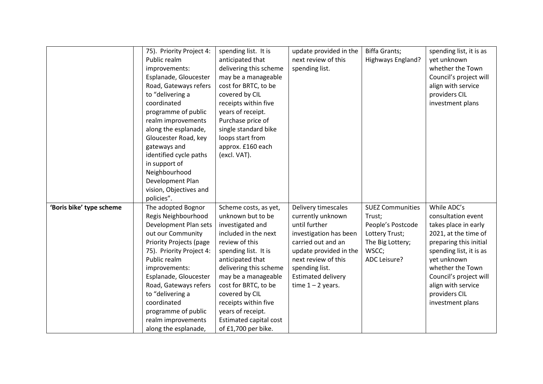|                          | 75). Priority Project 4:       | spending list. It is   | update provided in the    | <b>Biffa Grants;</b>    | spending list, it is as |
|--------------------------|--------------------------------|------------------------|---------------------------|-------------------------|-------------------------|
|                          | Public realm                   | anticipated that       | next review of this       | Highways England?       | yet unknown             |
|                          | improvements:                  | delivering this scheme | spending list.            |                         | whether the Town        |
|                          | Esplanade, Gloucester          | may be a manageable    |                           |                         | Council's project will  |
|                          | Road, Gateways refers          | cost for BRTC, to be   |                           |                         | align with service      |
|                          | to "delivering a               | covered by CIL         |                           |                         | providers CIL           |
|                          | coordinated                    | receipts within five   |                           |                         | investment plans        |
|                          | programme of public            | years of receipt.      |                           |                         |                         |
|                          | realm improvements             | Purchase price of      |                           |                         |                         |
|                          | along the esplanade,           | single standard bike   |                           |                         |                         |
|                          | Gloucester Road, key           | loops start from       |                           |                         |                         |
|                          | gateways and                   | approx. £160 each      |                           |                         |                         |
|                          | identified cycle paths         | (excl. VAT).           |                           |                         |                         |
|                          | in support of                  |                        |                           |                         |                         |
|                          | Neighbourhood                  |                        |                           |                         |                         |
|                          | Development Plan               |                        |                           |                         |                         |
|                          | vision, Objectives and         |                        |                           |                         |                         |
|                          | policies".                     |                        |                           |                         |                         |
| 'Boris bike' type scheme | The adopted Bognor             | Scheme costs, as yet,  | Delivery timescales       | <b>SUEZ Communities</b> | While ADC's             |
|                          | Regis Neighbourhood            | unknown but to be      | currently unknown         | Trust;                  | consultation event      |
|                          | Development Plan sets          | investigated and       | until further             | People's Postcode       | takes place in early    |
|                          | out our Community              | included in the next   | investigation has been    | Lottery Trust;          | 2021, at the time of    |
|                          | <b>Priority Projects (page</b> | review of this         | carried out and an        | The Big Lottery;        | preparing this initial  |
|                          | 75). Priority Project 4:       | spending list. It is   | update provided in the    | WSCC;                   | spending list, it is as |
|                          | Public realm                   | anticipated that       | next review of this       | ADC Leisure?            | yet unknown             |
|                          | improvements:                  | delivering this scheme | spending list.            |                         | whether the Town        |
|                          | Esplanade, Gloucester          | may be a manageable    | <b>Estimated delivery</b> |                         | Council's project will  |
|                          | Road, Gateways refers          | cost for BRTC, to be   | time $1 - 2$ years.       |                         | align with service      |
|                          | to "delivering a               | covered by CIL         |                           |                         | providers CIL           |
|                          | coordinated                    | receipts within five   |                           |                         | investment plans        |
|                          | programme of public            | years of receipt.      |                           |                         |                         |
|                          | realm improvements             | Estimated capital cost |                           |                         |                         |
|                          | along the esplanade,           | of £1,700 per bike.    |                           |                         |                         |